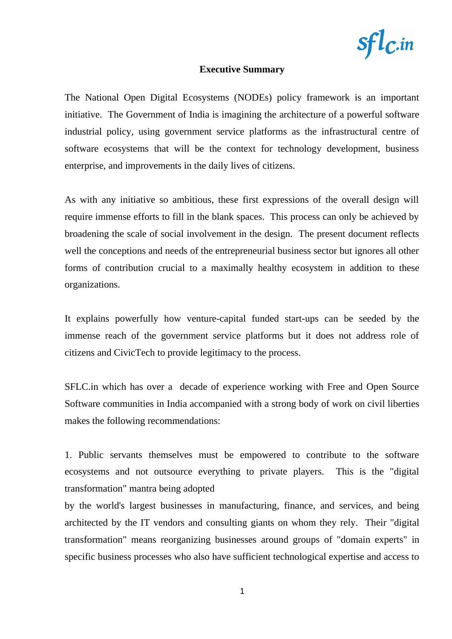

#### **Executive Summary**

The National Open Digital Ecosystems (NODEs) policy framework is an important initiative. The Government of India is imagining the architecture of a powerful software industrial policy, using government service platforms as the infrastructural centre of software ecosystems that will be the context for technology development, business enterprise, and improvements in the daily lives of citizens.

As with any initiative so ambitious, these first expressions of the overall design will require immense efforts to fill in the blank spaces. This process can only be achieved by broadening the scale of social involvement in the design. The present document reflects well the conceptions and needs of the entrepreneurial business sector but ignores all other forms of contribution crucial to a maximally healthy ecosystem in addition to these organizations.

It explains powerfully how venture-capital funded start-ups can be seeded by the immense reach of the government service platforms but it does not address role of citizens and CivicTech to provide legitimacy to the process.

SFLC.in which has over a decade of experience working with Free and Open Source Software communities in India accompanied with a strong body of work on civil liberties makes the following recommendations:

1. Public servants themselves must be empowered to contribute to the software ecosystems and not outsource everything to private players. This is the "digital transformation" mantra being adopted

by the world's largest businesses in manufacturing, finance, and services, and being architected by the IT vendors and consulting giants on whom they rely. Their "digital transformation" means reorganizing businesses around groups of "domain experts" in specific business processes who also have sufficient technological expertise and access to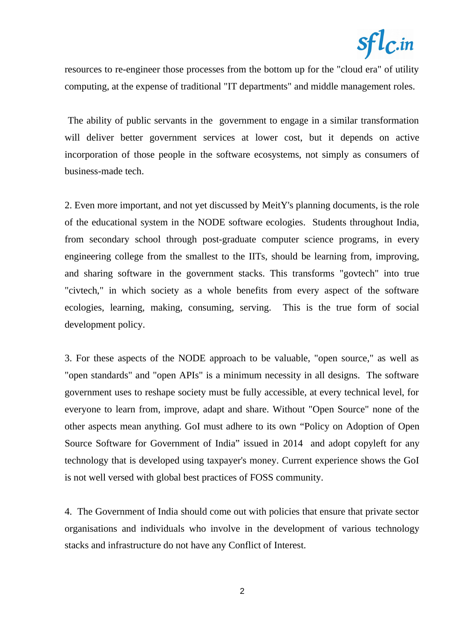# $sfl$ <sub> $c$ </sub>.in

resources to re-engineer those processes from the bottom up for the "cloud era" of utility computing, at the expense of traditional "IT departments" and middle management roles.

 The ability of public servants in the government to engage in a similar transformation will deliver better government services at lower cost, but it depends on active incorporation of those people in the software ecosystems, not simply as consumers of business-made tech.

2. Even more important, and not yet discussed by MeitY's planning documents, is the role of the educational system in the NODE software ecologies. Students throughout India, from secondary school through post-graduate computer science programs, in every engineering college from the smallest to the IITs, should be learning from, improving, and sharing software in the government stacks. This transforms "govtech" into true "civtech," in which society as a whole benefits from every aspect of the software ecologies, learning, making, consuming, serving. This is the true form of social development policy.

3. For these aspects of the NODE approach to be valuable, "open source," as well as "open standards" and "open APIs" is a minimum necessity in all designs. The software government uses to reshape society must be fully accessible, at every technical level, for everyone to learn from, improve, adapt and share. Without "Open Source" none of the other aspects mean anything. GoI must adhere to its own "Policy on Adoption of Open Source Software for Government of India" issued in 2014 and adopt copyleft for any technology that is developed using taxpayer's money. Current experience shows the GoI is not well versed with global best practices of FOSS community.

4. The Government of India should come out with policies that ensure that private sector organisations and individuals who involve in the development of various technology stacks and infrastructure do not have any Conflict of Interest.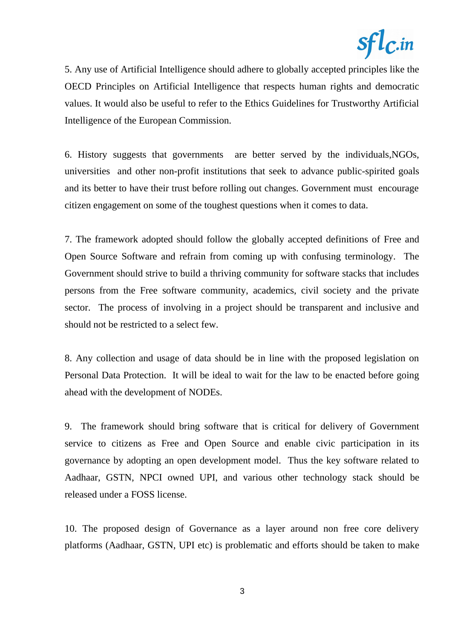

5. Any use of Artificial Intelligence should adhere to globally accepted principles like the OECD Principles on Artificial Intelligence that respects human rights and democratic values. It would also be useful to refer to the Ethics Guidelines for Trustworthy Artificial Intelligence of the European Commission.

6. History suggests that governments are better served by the individuals,NGOs, universities and other non-profit institutions that seek to advance public-spirited goals and its better to have their trust before rolling out changes. Government must encourage citizen engagement on some of the toughest questions when it comes to data.

7. The framework adopted should follow the globally accepted definitions of Free and Open Source Software and refrain from coming up with confusing terminology. The Government should strive to build a thriving community for software stacks that includes persons from the Free software community, academics, civil society and the private sector. The process of involving in a project should be transparent and inclusive and should not be restricted to a select few.

8. Any collection and usage of data should be in line with the proposed legislation on Personal Data Protection. It will be ideal to wait for the law to be enacted before going ahead with the development of NODEs.

9. The framework should bring software that is critical for delivery of Government service to citizens as Free and Open Source and enable civic participation in its governance by adopting an open development model. Thus the key software related to Aadhaar, GSTN, NPCI owned UPI, and various other technology stack should be released under a FOSS license.

10. The proposed design of Governance as a layer around non free core delivery platforms (Aadhaar, GSTN, UPI etc) is problematic and efforts should be taken to make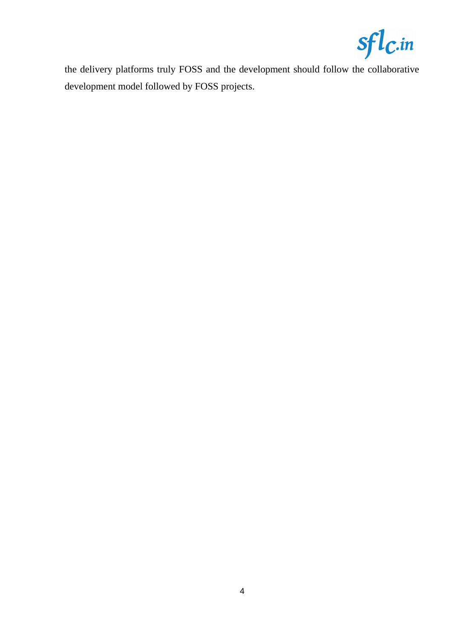

the delivery platforms truly FOSS and the development should follow the collaborative development model followed by FOSS projects.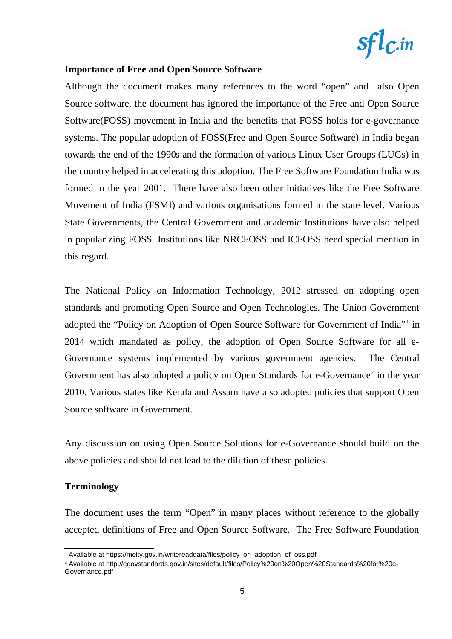

## **Importance of Free and Open Source Software**

Although the document makes many references to the word "open" and also Open Source software, the document has ignored the importance of the Free and Open Source Software(FOSS) movement in India and the benefits that FOSS holds for e-governance systems. The popular adoption of FOSS(Free and Open Source Software) in India began towards the end of the 1990s and the formation of various Linux User Groups (LUGs) in the country helped in accelerating this adoption. The Free Software Foundation India was formed in the year 2001. There have also been other initiatives like the Free Software Movement of India (FSMI) and various organisations formed in the state level. Various State Governments, the Central Government and academic Institutions have also helped in popularizing FOSS. Institutions like NRCFOSS and ICFOSS need special mention in this regard.

The National Policy on Information Technology, 2012 stressed on adopting open standards and promoting Open Source and Open Technologies. The Union Government adopted the "Policy on Adoption of Open Source Software for Government of India"<sup>[1](#page-4-0)</sup> in 2014 which mandated as policy, the adoption of Open Source Software for all e-Governance systems implemented by various government agencies. The Central Government has also adopted a policy on Open Standards for e-Governance<sup>[2](#page-4-1)</sup> in the year 2010. Various states like Kerala and Assam have also adopted policies that support Open Source software in Government.

Any discussion on using Open Source Solutions for e-Governance should build on the above policies and should not lead to the dilution of these policies.

### **Terminology**

The document uses the term "Open" in many places without reference to the globally accepted definitions of Free and Open Source Software. The Free Software Foundation

<span id="page-4-0"></span> $^{\rm 1}$  Available at https://meity.gov.in/writereaddata/files/policy\_on\_adoption\_of\_oss.pdf

<span id="page-4-1"></span><sup>2</sup> Available at http://egovstandards.gov.in/sites/default/files/Policy%20on%20Open%20Standards%20for%20e-Governance.pdf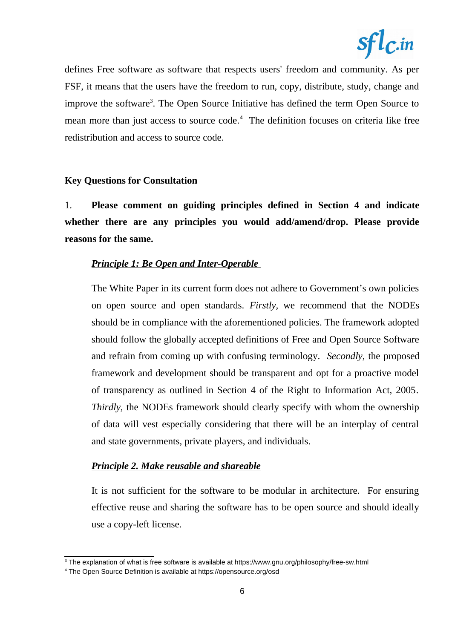

defines Free software as software that respects users' freedom and community. As per FSF, it means that the users have the freedom to run, copy, distribute, study, change and improve the software<sup>[3](#page-5-0)</sup>. The Open Source Initiative has defined the term Open Source to mean more than just access to source code.<sup>[4](#page-5-1)</sup> The definition focuses on criteria like free redistribution and access to source code.

### **Key Questions for Consultation**

1. **Please comment on guiding principles defined in Section 4 and indicate whether there are any principles you would add/amend/drop. Please provide reasons for the same.** 

#### *Principle 1: Be Open and Inter-Operable*

The White Paper in its current form does not adhere to Government's own policies on open source and open standards. *Firstly,* we recommend that the NODEs should be in compliance with the aforementioned policies. The framework adopted should follow the globally accepted definitions of Free and Open Source Software and refrain from coming up with confusing terminology. *Secondly,* the proposed framework and development should be transparent and opt for a proactive model of transparency as outlined in Section 4 of the Right to Information Act, 2005*. Thirdly,* the NODEs framework should clearly specify with whom the ownership of data will vest especially considering that there will be an interplay of central and state governments, private players, and individuals.

#### *Principle 2. Make reusable and shareable*

It is not sufficient for the software to be modular in architecture. For ensuring effective reuse and sharing the software has to be open source and should ideally use a copy-left license.

<span id="page-5-0"></span> $^3$  The explanation of what is free software is available at https://www.gnu.org/philosophy/free-sw.html

<span id="page-5-1"></span><sup>4</sup> The Open Source Definition is available at https://opensource.org/osd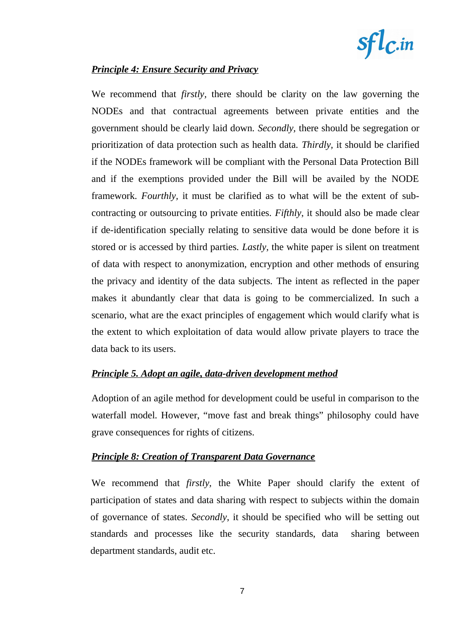

## *Principle 4: Ensure Security and Privacy*

We recommend that *firstly,* there should be clarity on the law governing the NODEs and that contractual agreements between private entities and the government should be clearly laid down. *Secondly,* there should be segregation or prioritization of data protection such as health data. *Thirdly,* it should be clarified if the NODEs framework will be compliant with the Personal Data Protection Bill and if the exemptions provided under the Bill will be availed by the NODE framework. *Fourthly,* it must be clarified as to what will be the extent of subcontracting or outsourcing to private entities. *Fifthly*, it should also be made clear if de-identification specially relating to sensitive data would be done before it is stored or is accessed by third parties. *Lastly,* the white paper is silent on treatment of data with respect to anonymization, encryption and other methods of ensuring the privacy and identity of the data subjects. The intent as reflected in the paper makes it abundantly clear that data is going to be commercialized. In such a scenario, what are the exact principles of engagement which would clarify what is the extent to which exploitation of data would allow private players to trace the data back to its users.

### *Principle 5. Adopt an agile, data-driven development method*

Adoption of an agile method for development could be useful in comparison to the waterfall model. However, "move fast and break things" philosophy could have grave consequences for rights of citizens.

### *Principle 8: Creation of Transparent Data Governance*

We recommend that *firstly,* the White Paper should clarify the extent of participation of states and data sharing with respect to subjects within the domain of governance of states. *Secondly*, it should be specified who will be setting out standards and processes like the security standards, data sharing between department standards, audit etc.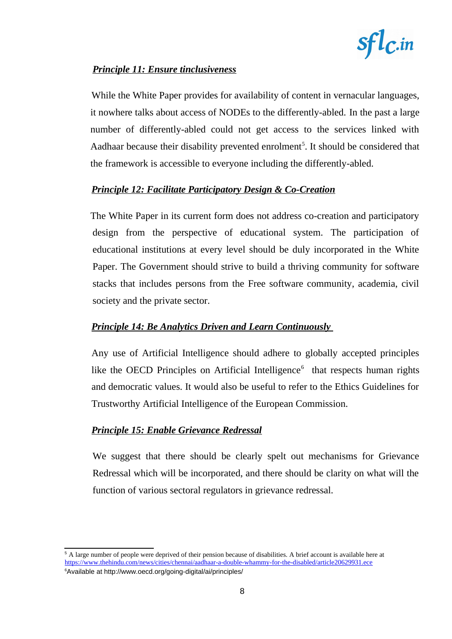

# *Principle 11: Ensure tinclusiveness*

While the White Paper provides for availability of content in vernacular languages, it nowhere talks about access of NODEs to the differently-abled. In the past a large number of differently-abled could not get access to the services linked with Aadhaar because their disability prevented enrolment<sup>[5](#page-7-0)</sup>. It should be considered that the framework is accessible to everyone including the differently-abled.

## *Principle 12: Facilitate Participatory Design & Co-Creation*

The White Paper in its current form does not address co-creation and participatory design from the perspective of educational system. The participation of educational institutions at every level should be duly incorporated in the White Paper. The Government should strive to build a thriving community for software stacks that includes persons from the Free software community, academia, civil society and the private sector.

## *Principle 14: Be Analytics Driven and Learn Continuously*

Any use of Artificial Intelligence should adhere to globally accepted principles like the OECD Principles on Artificial Intelligence $<sup>6</sup>$  $<sup>6</sup>$  $<sup>6</sup>$  that respects human rights</sup> and democratic values. It would also be useful to refer to the Ethics Guidelines for Trustworthy Artificial Intelligence of the European Commission.

## *Principle 15: Enable Grievance Redressal*

We suggest that there should be clearly spelt out mechanisms for Grievance Redressal which will be incorporated, and there should be clarity on what will the function of various sectoral regulators in grievance redressal.

<span id="page-7-1"></span><span id="page-7-0"></span> $5$  A large number of people were deprived of their pension because of disabilities. A brief account is available here at <https://www.thehindu.com/news/cities/chennai/aadhaar-a-double-whammy-for-the-disabled/article20629931.ece> <sup>6</sup>Available at http://www.oecd.org/going-digital/ai/principles/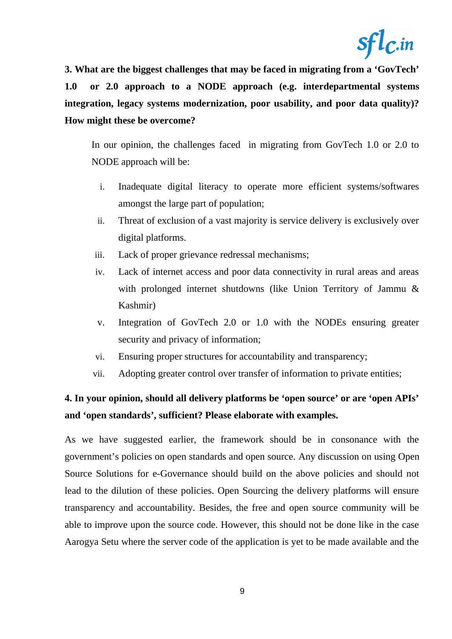

**3. What are the biggest challenges that may be faced in migrating from a 'GovTech' 1.0 or 2.0 approach to a NODE approach (e.g. interdepartmental systems integration, legacy systems modernization, poor usability, and poor data quality)? How might these be overcome?** 

In our opinion, the challenges faced in migrating from GovTech 1.0 or 2.0 to NODE approach will be:

- i. Inadequate digital literacy to operate more efficient systems/softwares amongst the large part of population;
- ii. Threat of exclusion of a vast majority is service delivery is exclusively over digital platforms.
- iii. Lack of proper grievance redressal mechanisms;
- iv. Lack of internet access and poor data connectivity in rural areas and areas with prolonged internet shutdowns (like Union Territory of Jammu & Kashmir)
- v. Integration of GovTech 2.0 or 1.0 with the NODEs ensuring greater security and privacy of information;
- vi. Ensuring proper structures for accountability and transparency;
- vii. Adopting greater control over transfer of information to private entities;

# **4. In your opinion, should all delivery platforms be 'open source' or are 'open APIs' and 'open standards', sufficient? Please elaborate with examples.**

As we have suggested earlier, the framework should be in consonance with the government's policies on open standards and open source. Any discussion on using Open Source Solutions for e-Governance should build on the above policies and should not lead to the dilution of these policies. Open Sourcing the delivery platforms will ensure transparency and accountability. Besides, the free and open source community will be able to improve upon the source code. However, this should not be done like in the case Aarogya Setu where the server code of the application is yet to be made available and the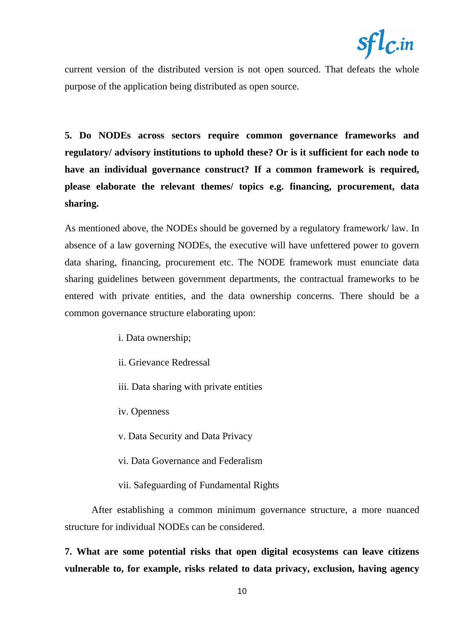

current version of the distributed version is not open sourced. That defeats the whole purpose of the application being distributed as open source.

**5. Do NODEs across sectors require common governance frameworks and regulatory/ advisory institutions to uphold these? Or is it sufficient for each node to have an individual governance construct? If a common framework is required, please elaborate the relevant themes/ topics e.g. financing, procurement, data sharing.** 

As mentioned above, the NODEs should be governed by a regulatory framework/ law. In absence of a law governing NODEs, the executive will have unfettered power to govern data sharing, financing, procurement etc. The NODE framework must enunciate data sharing guidelines between government departments, the contractual frameworks to be entered with private entities, and the data ownership concerns. There should be a common governance structure elaborating upon:

- i. Data ownership;
- ii. Grievance Redressal
- iii. Data sharing with private entities
- iv. Openness
- v. Data Security and Data Privacy
- vi. Data Governance and Federalism
- vii. Safeguarding of Fundamental Rights

After establishing a common minimum governance structure, a more nuanced structure for individual NODEs can be considered.

**7. What are some potential risks that open digital ecosystems can leave citizens vulnerable to, for example, risks related to data privacy, exclusion, having agency**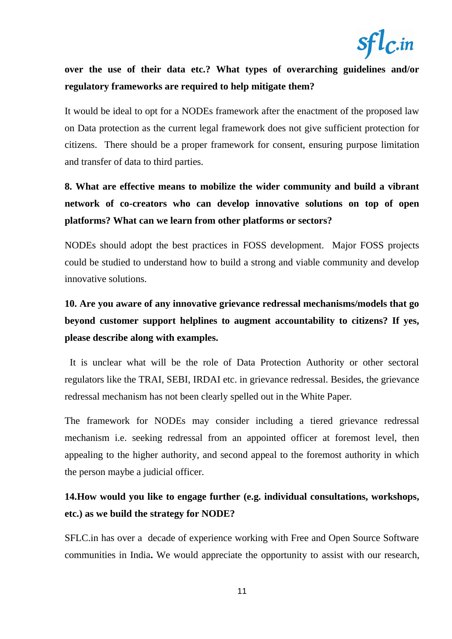

# **over the use of their data etc.? What types of overarching guidelines and/or regulatory frameworks are required to help mitigate them?**

It would be ideal to opt for a NODEs framework after the enactment of the proposed law on Data protection as the current legal framework does not give sufficient protection for citizens. There should be a proper framework for consent, ensuring purpose limitation and transfer of data to third parties.

# **8. What are effective means to mobilize the wider community and build a vibrant network of co-creators who can develop innovative solutions on top of open platforms? What can we learn from other platforms or sectors?**

NODEs should adopt the best practices in FOSS development. Major FOSS projects could be studied to understand how to build a strong and viable community and develop innovative solutions.

# **10. Are you aware of any innovative grievance redressal mechanisms/models that go beyond customer support helplines to augment accountability to citizens? If yes, please describe along with examples.**

 It is unclear what will be the role of Data Protection Authority or other sectoral regulators like the TRAI, SEBI, IRDAI etc. in grievance redressal. Besides, the grievance redressal mechanism has not been clearly spelled out in the White Paper.

The framework for NODEs may consider including a tiered grievance redressal mechanism i.e. seeking redressal from an appointed officer at foremost level, then appealing to the higher authority, and second appeal to the foremost authority in which the person maybe a judicial officer.

# **14.How would you like to engage further (e.g. individual consultations, workshops, etc.) as we build the strategy for NODE?**

SFLC.in has over a decade of experience working with Free and Open Source Software communities in India**.** We would appreciate the opportunity to assist with our research,